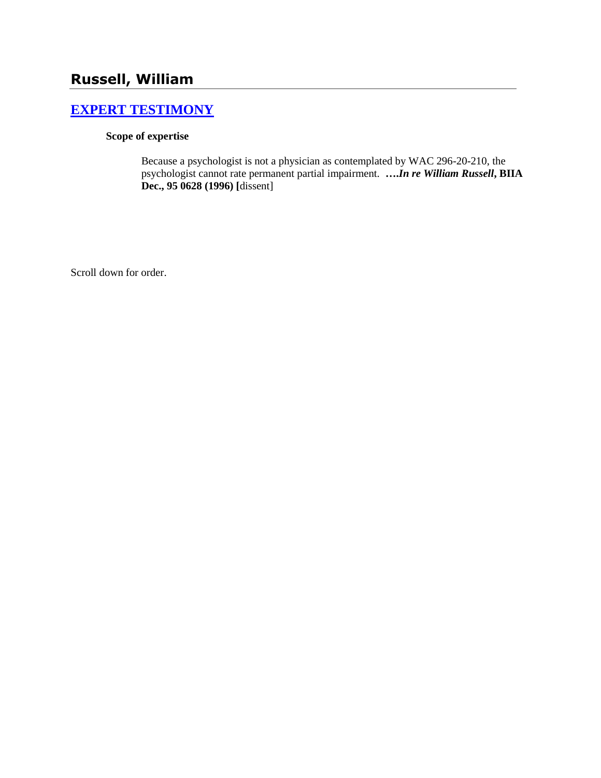# **Russell, William**

# **[EXPERT TESTIMONY](http://www.biia.wa.gov/SDSubjectIndex.html#EXPERT_TESTIMONY)**

#### **Scope of expertise**

Because a psychologist is not a physician as contemplated by WAC 296-20-210, the psychologist cannot rate permanent partial impairment. **….***In re William Russell***, BIIA Dec., 95 0628 (1996) [**dissent]

Scroll down for order.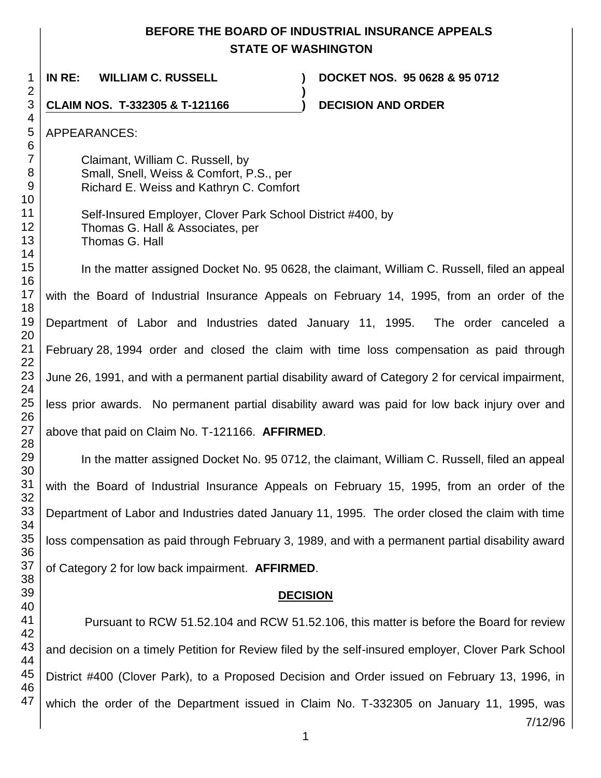## **BEFORE THE BOARD OF INDUSTRIAL INSURANCE APPEALS STATE OF WASHINGTON**

**)**

**IN RE: WILLIAM C. RUSSELL ) DOCKET NOS. 95 0628 & 95 0712**

**CLAIM NOS. T-332305 & T-121166 ) DECISION AND ORDER** 

APPEARANCES:

Claimant, William C. Russell, by Small, Snell, Weiss & Comfort, P.S., per Richard E. Weiss and Kathryn C. Comfort

Self-Insured Employer, Clover Park School District #400, by Thomas G. Hall & Associates, per Thomas G. Hall

In the matter assigned Docket No. 95 0628, the claimant, William C. Russell, filed an appeal with the Board of Industrial Insurance Appeals on February 14, 1995, from an order of the Department of Labor and Industries dated January 11, 1995. The order canceled a February 28, 1994 order and closed the claim with time loss compensation as paid through June 26, 1991, and with a permanent partial disability award of Category 2 for cervical impairment, less prior awards. No permanent partial disability award was paid for low back injury over and above that paid on Claim No. T-121166. **AFFIRMED**.

In the matter assigned Docket No. 95 0712, the claimant, William C. Russell, filed an appeal with the Board of Industrial Insurance Appeals on February 15, 1995, from an order of the Department of Labor and Industries dated January 11, 1995. The order closed the claim with time loss compensation as paid through February 3, 1989, and with a permanent partial disability award of Category 2 for low back impairment. **AFFIRMED**.

## **DECISION**

Pursuant to RCW 51.52.104 and RCW 51.52.106, this matter is before the Board for review and decision on a timely Petition for Review filed by the self-insured employer, Clover Park School District #400 (Clover Park), to a Proposed Decision and Order issued on February 13, 1996, in which the order of the Department issued in Claim No. T-332305 on January 11, 1995, was

7/12/96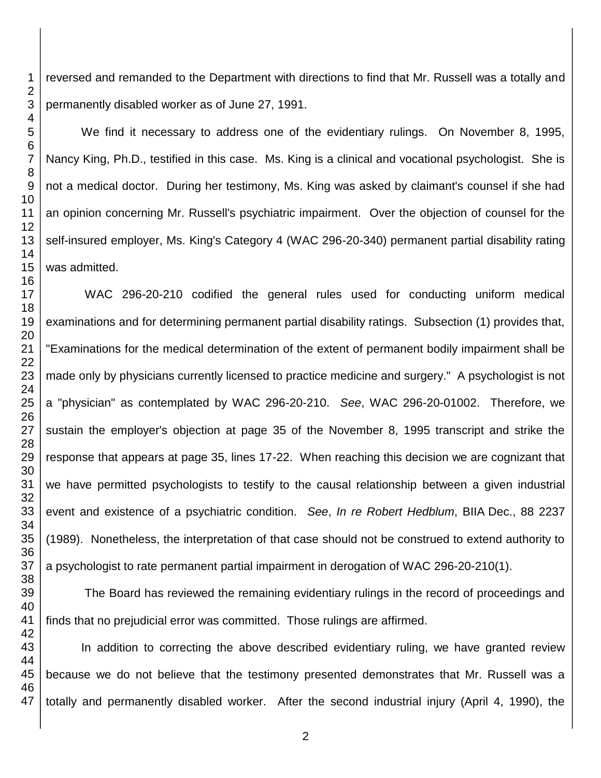reversed and remanded to the Department with directions to find that Mr. Russell was a totally and permanently disabled worker as of June 27, 1991.

We find it necessary to address one of the evidentiary rulings. On November 8, 1995, Nancy King, Ph.D., testified in this case. Ms. King is a clinical and vocational psychologist. She is not a medical doctor. During her testimony, Ms. King was asked by claimant's counsel if she had an opinion concerning Mr. Russell's psychiatric impairment. Over the objection of counsel for the self-insured employer, Ms. King's Category 4 (WAC 296-20-340) permanent partial disability rating was admitted.

WAC 296-20-210 codified the general rules used for conducting uniform medical examinations and for determining permanent partial disability ratings. Subsection (1) provides that, "Examinations for the medical determination of the extent of permanent bodily impairment shall be made only by physicians currently licensed to practice medicine and surgery." A psychologist is not a "physician" as contemplated by WAC 296-20-210. *See*, WAC 296-20-01002. Therefore, we sustain the employer's objection at page 35 of the November 8, 1995 transcript and strike the response that appears at page 35, lines 17-22. When reaching this decision we are cognizant that we have permitted psychologists to testify to the causal relationship between a given industrial event and existence of a psychiatric condition. *See*, *In re Robert Hedblum*, BIIA Dec., 88 2237 (1989). Nonetheless, the interpretation of that case should not be construed to extend authority to a psychologist to rate permanent partial impairment in derogation of WAC 296-20-210(1).

The Board has reviewed the remaining evidentiary rulings in the record of proceedings and finds that no prejudicial error was committed. Those rulings are affirmed.

In addition to correcting the above described evidentiary ruling, we have granted review because we do not believe that the testimony presented demonstrates that Mr. Russell was a totally and permanently disabled worker. After the second industrial injury (April 4, 1990), the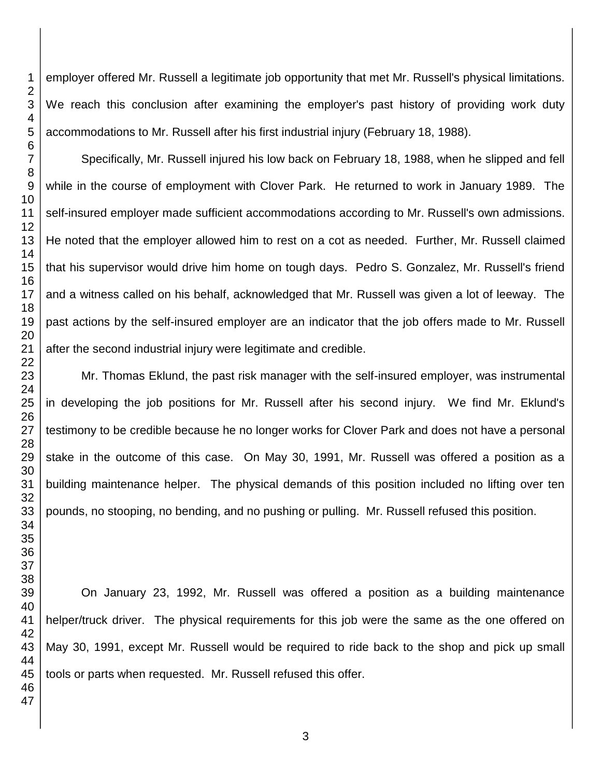employer offered Mr. Russell a legitimate job opportunity that met Mr. Russell's physical limitations. We reach this conclusion after examining the employer's past history of providing work duty accommodations to Mr. Russell after his first industrial injury (February 18, 1988).

Specifically, Mr. Russell injured his low back on February 18, 1988, when he slipped and fell while in the course of employment with Clover Park. He returned to work in January 1989. The self-insured employer made sufficient accommodations according to Mr. Russell's own admissions. He noted that the employer allowed him to rest on a cot as needed. Further, Mr. Russell claimed that his supervisor would drive him home on tough days. Pedro S. Gonzalez, Mr. Russell's friend and a witness called on his behalf, acknowledged that Mr. Russell was given a lot of leeway. The past actions by the self-insured employer are an indicator that the job offers made to Mr. Russell after the second industrial injury were legitimate and credible.

Mr. Thomas Eklund, the past risk manager with the self-insured employer, was instrumental in developing the job positions for Mr. Russell after his second injury. We find Mr. Eklund's testimony to be credible because he no longer works for Clover Park and does not have a personal stake in the outcome of this case. On May 30, 1991, Mr. Russell was offered a position as a building maintenance helper. The physical demands of this position included no lifting over ten pounds, no stooping, no bending, and no pushing or pulling. Mr. Russell refused this position.

On January 23, 1992, Mr. Russell was offered a position as a building maintenance helper/truck driver. The physical requirements for this job were the same as the one offered on May 30, 1991, except Mr. Russell would be required to ride back to the shop and pick up small tools or parts when requested. Mr. Russell refused this offer.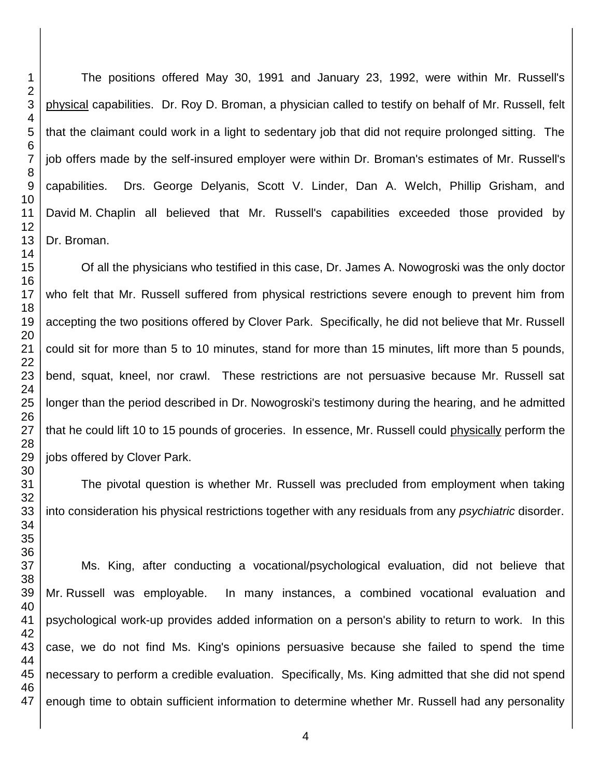The positions offered May 30, 1991 and January 23, 1992, were within Mr. Russell's physical capabilities. Dr. Roy D. Broman, a physician called to testify on behalf of Mr. Russell, felt that the claimant could work in a light to sedentary job that did not require prolonged sitting. The job offers made by the self-insured employer were within Dr. Broman's estimates of Mr. Russell's capabilities. Drs. George Delyanis, Scott V. Linder, Dan A. Welch, Phillip Grisham, and David M. Chaplin all believed that Mr. Russell's capabilities exceeded those provided by Dr. Broman.

Of all the physicians who testified in this case, Dr. James A. Nowogroski was the only doctor who felt that Mr. Russell suffered from physical restrictions severe enough to prevent him from accepting the two positions offered by Clover Park. Specifically, he did not believe that Mr. Russell could sit for more than 5 to 10 minutes, stand for more than 15 minutes, lift more than 5 pounds, bend, squat, kneel, nor crawl. These restrictions are not persuasive because Mr. Russell sat longer than the period described in Dr. Nowogroski's testimony during the hearing, and he admitted that he could lift 10 to 15 pounds of groceries. In essence, Mr. Russell could physically perform the jobs offered by Clover Park.

The pivotal question is whether Mr. Russell was precluded from employment when taking into consideration his physical restrictions together with any residuals from any *psychiatric* disorder.

Ms. King, after conducting a vocational/psychological evaluation, did not believe that Mr. Russell was employable. In many instances, a combined vocational evaluation and psychological work-up provides added information on a person's ability to return to work. In this case, we do not find Ms. King's opinions persuasive because she failed to spend the time necessary to perform a credible evaluation. Specifically, Ms. King admitted that she did not spend enough time to obtain sufficient information to determine whether Mr. Russell had any personality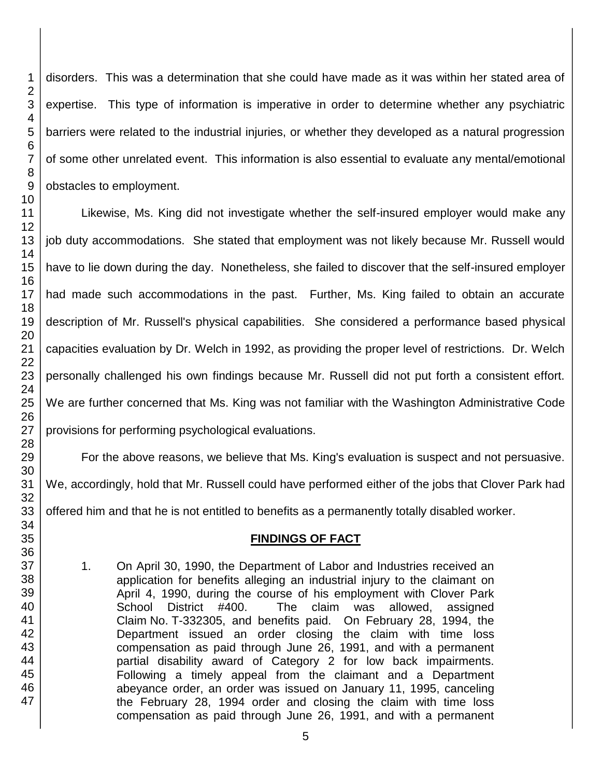disorders. This was a determination that she could have made as it was within her stated area of expertise. This type of information is imperative in order to determine whether any psychiatric barriers were related to the industrial injuries, or whether they developed as a natural progression of some other unrelated event. This information is also essential to evaluate any mental/emotional obstacles to employment.

Likewise, Ms. King did not investigate whether the self-insured employer would make any job duty accommodations. She stated that employment was not likely because Mr. Russell would have to lie down during the day. Nonetheless, she failed to discover that the self-insured employer had made such accommodations in the past. Further, Ms. King failed to obtain an accurate description of Mr. Russell's physical capabilities. She considered a performance based physical capacities evaluation by Dr. Welch in 1992, as providing the proper level of restrictions. Dr. Welch personally challenged his own findings because Mr. Russell did not put forth a consistent effort. We are further concerned that Ms. King was not familiar with the Washington Administrative Code provisions for performing psychological evaluations.

For the above reasons, we believe that Ms. King's evaluation is suspect and not persuasive. We, accordingly, hold that Mr. Russell could have performed either of the jobs that Clover Park had offered him and that he is not entitled to benefits as a permanently totally disabled worker.

## **FINDINGS OF FACT**

1. On April 30, 1990, the Department of Labor and Industries received an application for benefits alleging an industrial injury to the claimant on April 4, 1990, during the course of his employment with Clover Park School District #400. The claim was allowed, assigned Claim No. T-332305, and benefits paid. On February 28, 1994, the Department issued an order closing the claim with time loss compensation as paid through June 26, 1991, and with a permanent partial disability award of Category 2 for low back impairments. Following a timely appeal from the claimant and a Department abeyance order, an order was issued on January 11, 1995, canceling the February 28, 1994 order and closing the claim with time loss compensation as paid through June 26, 1991, and with a permanent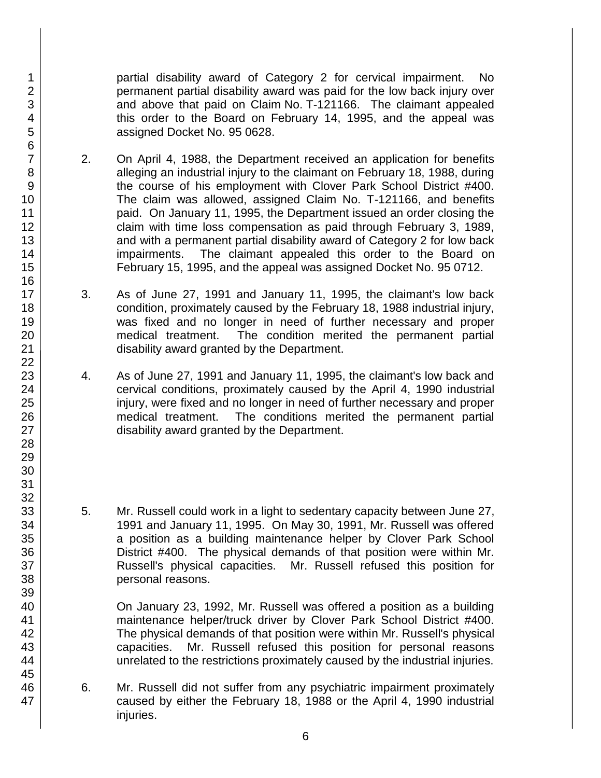partial disability award of Category 2 for cervical impairment. No permanent partial disability award was paid for the low back injury over and above that paid on Claim No. T-121166. The claimant appealed this order to the Board on February 14, 1995, and the appeal was assigned Docket No. 95 0628.

- 2. On April 4, 1988, the Department received an application for benefits alleging an industrial injury to the claimant on February 18, 1988, during the course of his employment with Clover Park School District #400. The claim was allowed, assigned Claim No. T-121166, and benefits paid. On January 11, 1995, the Department issued an order closing the claim with time loss compensation as paid through February 3, 1989, and with a permanent partial disability award of Category 2 for low back impairments. The claimant appealed this order to the Board on February 15, 1995, and the appeal was assigned Docket No. 95 0712.
- 3. As of June 27, 1991 and January 11, 1995, the claimant's low back condition, proximately caused by the February 18, 1988 industrial injury, was fixed and no longer in need of further necessary and proper medical treatment. The condition merited the permanent partial disability award granted by the Department.
- 4. As of June 27, 1991 and January 11, 1995, the claimant's low back and cervical conditions, proximately caused by the April 4, 1990 industrial injury, were fixed and no longer in need of further necessary and proper medical treatment. The conditions merited the permanent partial disability award granted by the Department.
- 5. Mr. Russell could work in a light to sedentary capacity between June 27, 1991 and January 11, 1995. On May 30, 1991, Mr. Russell was offered a position as a building maintenance helper by Clover Park School District #400. The physical demands of that position were within Mr. Russell's physical capacities. Mr. Russell refused this position for personal reasons.

On January 23, 1992, Mr. Russell was offered a position as a building maintenance helper/truck driver by Clover Park School District #400. The physical demands of that position were within Mr. Russell's physical capacities. Mr. Russell refused this position for personal reasons unrelated to the restrictions proximately caused by the industrial injuries.

6. Mr. Russell did not suffer from any psychiatric impairment proximately caused by either the February 18, 1988 or the April 4, 1990 industrial iniuries.

47

1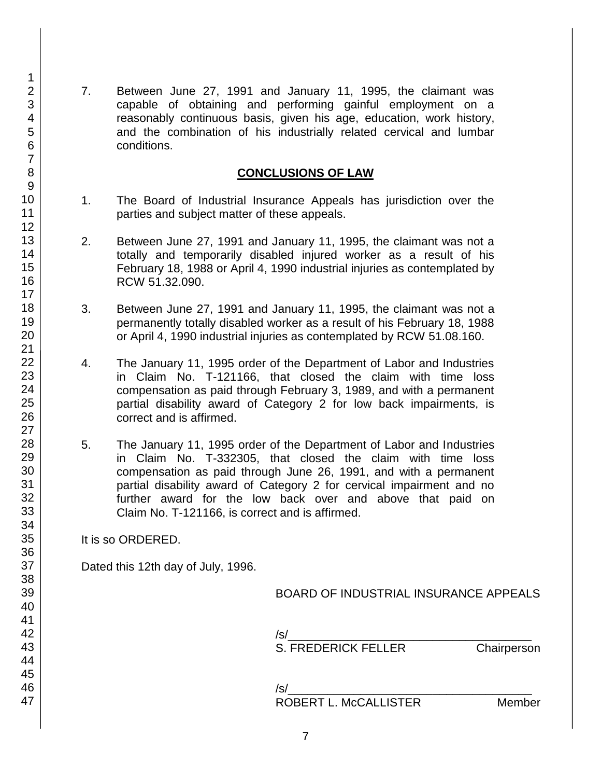7. Between June 27, 1991 and January 11, 1995, the claimant was capable of obtaining and performing gainful employment on a reasonably continuous basis, given his age, education, work history, and the combination of his industrially related cervical and lumbar conditions.

#### **CONCLUSIONS OF LAW**

- 1. The Board of Industrial Insurance Appeals has jurisdiction over the parties and subject matter of these appeals.
- 2. Between June 27, 1991 and January 11, 1995, the claimant was not a totally and temporarily disabled injured worker as a result of his February 18, 1988 or April 4, 1990 industrial injuries as contemplated by RCW 51.32.090.
- 3. Between June 27, 1991 and January 11, 1995, the claimant was not a permanently totally disabled worker as a result of his February 18, 1988 or April 4, 1990 industrial injuries as contemplated by RCW 51.08.160.
- 4. The January 11, 1995 order of the Department of Labor and Industries in Claim No. T-121166, that closed the claim with time loss compensation as paid through February 3, 1989, and with a permanent partial disability award of Category 2 for low back impairments, is correct and is affirmed.
- 5. The January 11, 1995 order of the Department of Labor and Industries in Claim No. T-332305, that closed the claim with time loss compensation as paid through June 26, 1991, and with a permanent partial disability award of Category 2 for cervical impairment and no further award for the low back over and above that paid on Claim No. T-121166, is correct and is affirmed.

It is so ORDERED.

Dated this 12th day of July, 1996.

BOARD OF INDUSTRIAL INSURANCE APPEALS

/s/\_\_\_\_\_\_\_\_\_\_\_\_\_\_\_\_\_\_\_\_\_\_\_\_\_\_\_\_\_\_\_\_\_\_\_\_\_ S. FREDERICK FELLER Chairperson

/s/\_\_\_\_\_\_\_\_\_\_\_\_\_\_\_\_\_\_\_\_\_\_\_\_\_\_\_\_\_\_\_\_\_\_\_\_\_

ROBERT L. McCALLISTER Member